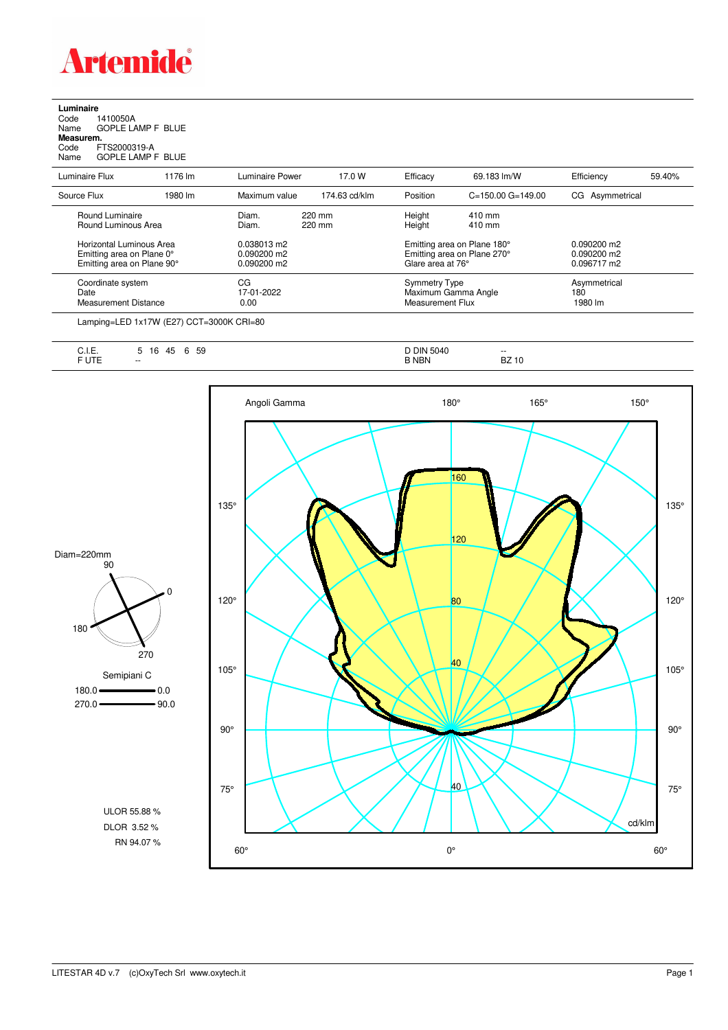

**Luminaire**<br>Code 1<br>Name ( Code 1410050A Name GOPLE LAMP F BLUE **Measurem.**

Code FTS2000319-A Name GOPLE LAMP F BLUE

| סוווכ |  | UULLELAMI I UL |  |
|-------|--|----------------|--|
|       |  |                |  |

| Luminaire Flux                                                                      | 1176 lm | Luminaire Power                               | 17.0 W           | Efficacy                                                 | 69.183 lm/W                                                | Efficiency                                    | 59.40% |
|-------------------------------------------------------------------------------------|---------|-----------------------------------------------|------------------|----------------------------------------------------------|------------------------------------------------------------|-----------------------------------------------|--------|
| Source Flux                                                                         | 1980 lm | Maximum value                                 | 174.63 cd/klm    | Position                                                 | $C = 150.00$ $G = 149.00$                                  | CG Asymmetrical                               |        |
| Round Luminaire<br>Round Luminous Area                                              |         | Diam.<br>Diam.                                | 220 mm<br>220 mm | Height<br>Height                                         | 410 mm<br>410 mm                                           |                                               |        |
| Horizontal Luminous Area<br>Emitting area on Plane 0°<br>Emitting area on Plane 90° |         | 0.038013 m2<br>$0.090200$ m2<br>$0.090200$ m2 |                  | Glare area at 76°                                        | Emitting area on Plane 180°<br>Emitting area on Plane 270° | $0.090200$ m2<br>$0.090200$ m2<br>0.096717 m2 |        |
| Coordinate system<br>Date<br><b>Measurement Distance</b>                            |         | CG<br>17-01-2022<br>0.00                      |                  | Symmetry Type<br>Maximum Gamma Angle<br>Measurement Flux |                                                            | Asymmetrical<br>180<br>1980 lm                |        |

Lamping=LED 1x17W (E27) CCT=3000K CRI=80